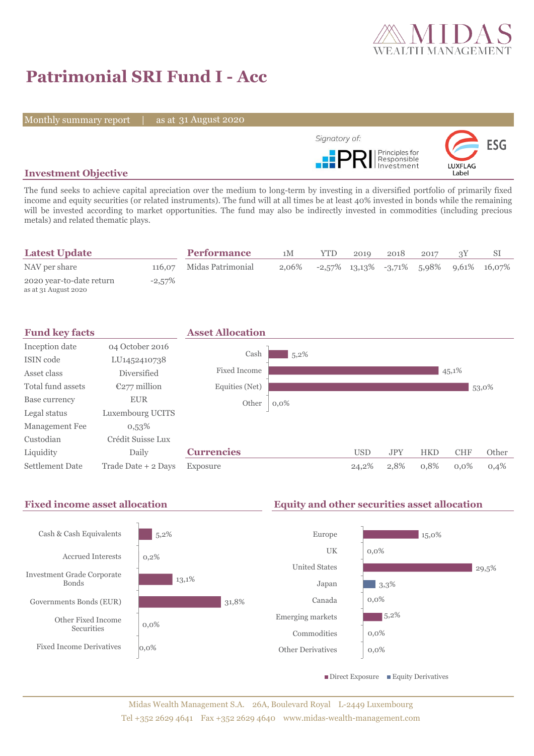

# **Patrimonial SRI Fund I - Acc**

Monthly summary report | as at 31 August 2020



# **Investment Objective**

The fund seeks to achieve capital apreciation over the medium to long-term by investing in a diversified portfolio of primarily fixed income and equity securities (or related instruments). The fund will at all times be at least 40% invested in bonds while the remaining will be invested according to market opportunities. The fund may also be indirectly invested in commodities (including precious metals) and related thematic plays.

| <b>Latest Update</b>                             |           | <b>Performance</b>       | 1M    | <b>YTD</b> | 2019 | 2018 | 2017 |                                                   |
|--------------------------------------------------|-----------|--------------------------|-------|------------|------|------|------|---------------------------------------------------|
| NAV per share                                    |           | 116,07 Midas Patrimonial | 2.06% |            |      |      |      | $-2,57\%$ 13,13\% $-3,71\%$ 5,98\% 9,61\% 16,07\% |
| 2020 year-to-date return<br>as at 31 August 2020 | $-2,57\%$ |                          |       |            |      |      |      |                                                   |



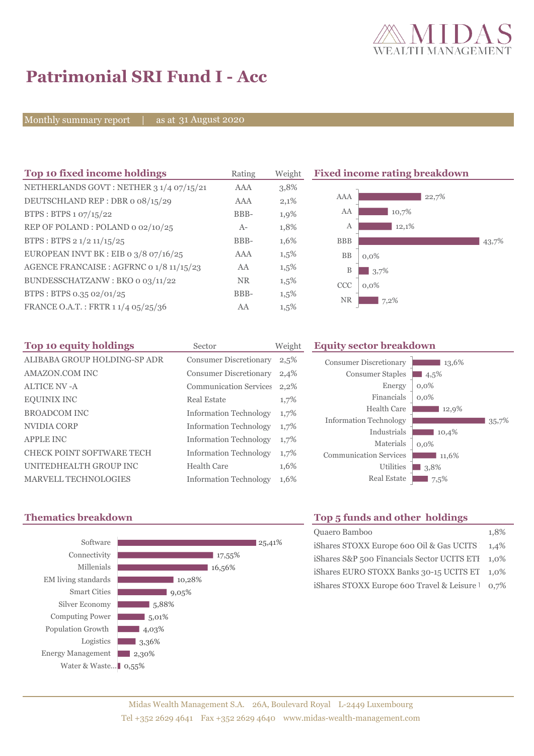

# **Patrimonial SRI Fund I - Acc**

Monthly summary report | as at 31 August 2020

| Top 10 fixed income holdings             | Rating     | Weight  |  |
|------------------------------------------|------------|---------|--|
| NETHERLANDS GOVT: NETHER 3 1/4 07/15/21  | <b>AAA</b> | 3,8%    |  |
| DEUTSCHLAND REP: DBR o 08/15/29          | AAA        | 2,1%    |  |
| BTPS: BTPS 1 07/15/22                    | BBB-       | 1,9%    |  |
| REP OF POLAND: POLAND 0 02/10/25         | $A-$       | 1,8%    |  |
| BTPS: BTPS 2 1/2 11/15/25                | BBB-       | 1,6%    |  |
| EUROPEAN INVT BK : EIB o $3/8$ o7/16/25  | AAA        | $1,5\%$ |  |
| AGENCE FRANCAISE : AGFRNC 0 1/8 11/15/23 | AA         | $1,5\%$ |  |
| BUNDESSCHATZANW: BKO o 03/11/22          | <b>NR</b>  | $1,5\%$ |  |
| BTPS: BTPS 0.35 02/01/25                 | BBB-       | $1,5\%$ |  |
| FRANCE O.A.T.: FRTR 1 1/4 05/25/36       | AA         | 1,5%    |  |

#### **Fixed income rating breakdown**



| Top 10 equity holdings           | Sector                        | Weight |
|----------------------------------|-------------------------------|--------|
| ALIBABA GROUP HOLDING-SP ADR     | <b>Consumer Discretionary</b> | 2,5%   |
| <b>AMAZON.COM INC</b>            | <b>Consumer Discretionary</b> | 2,4%   |
| <b>ALTICE NV - A</b>             | <b>Communication Services</b> | 2,2%   |
| <b>EQUINIX INC</b>               | Real Estate                   | 1,7%   |
| <b>BROADCOM INC</b>              | <b>Information Technology</b> | 1,7%   |
| NVIDIA CORP                      | <b>Information Technology</b> | 1,7%   |
| <b>APPLE INC</b>                 | <b>Information Technology</b> | 1,7%   |
| <b>CHECK POINT SOFTWARE TECH</b> | <b>Information Technology</b> | 1,7%   |
| UNITEDHEALTH GROUP INC           | Health Care                   | 1,6%   |
| <b>MARVELL TECHNOLOGIES</b>      | <b>Information Technology</b> | 1,6%   |

### **Equity sector breakdown**





# **Thematics breakdown Top 5 funds and other holdings**

| Quaero Bamboo                                    | 1,8% |
|--------------------------------------------------|------|
| iShares STOXX Europe 600 Oil & Gas UCITS 1,4%    |      |
| iShares S&P 500 Financials Sector UCITS ETI 1,0% |      |
| iShares EURO STOXX Banks 30-15 UCITS ET 1,0%     |      |
| iShares STOXX Europe 600 Travel & Leisure 1 0,7% |      |